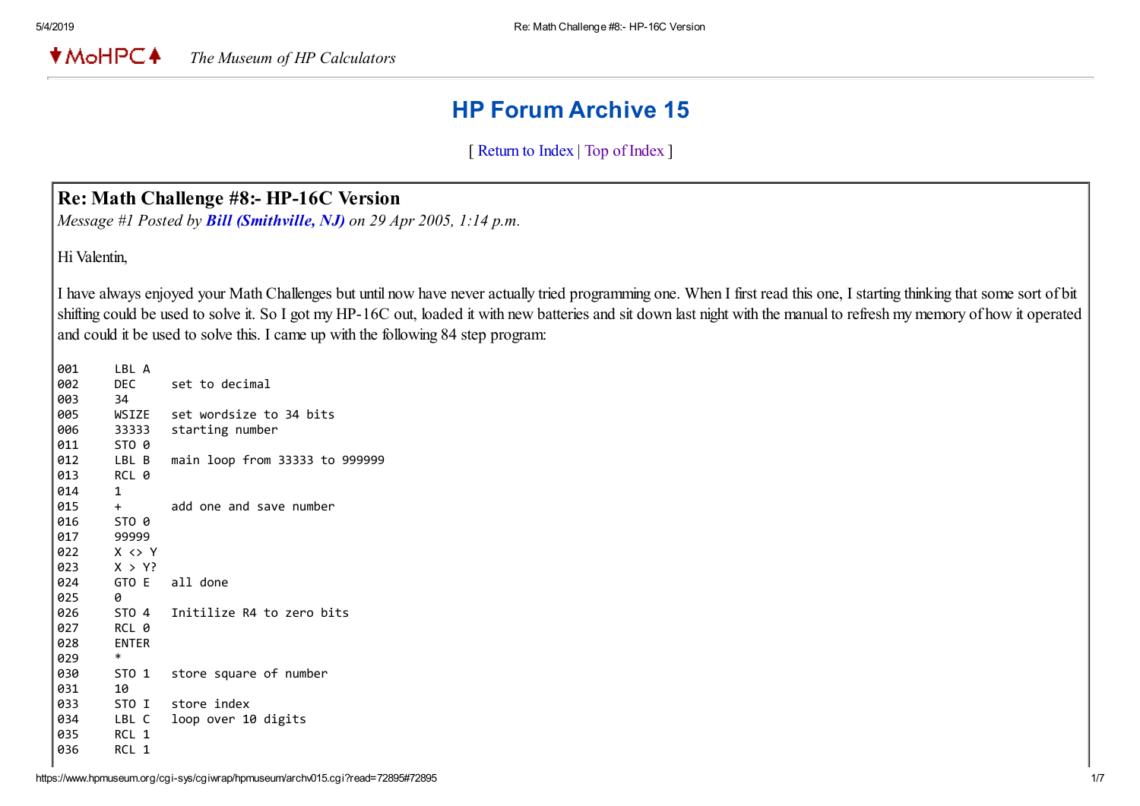**★MoHPC4** *The Museum of HP Calculators*

# HP Forum Archive 15

[ [Return to Index](https://www.hpmuseum.org/cgi-sys/cgiwrap/hpmuseum/archv015.cgi#72658) | [Top of Index](https://www.hpmuseum.org/cgi-sys/cgiwrap/hpmuseum/archv015.cgi) ]

#### Re: Math Challenge #8:- HP-16C Version

*Message #1 Posted by [Bill \(Smithville, NJ\)](https://www.hpmuseum.org/cgi-sys/cgiwrap/hpmuseum/archv015.cgi?contact=72658) on 29 Apr 2005, 1:14 p.m.*

Hi Valentin,

I have always enjoyed your Math Challenges but until now have never actually tried programming one. When I first read this one, I starting thinking that some sort of bit shifting could be used to solve it. So I got my HP-16C out, loaded it with new batteries and sit down last night with the manual to refresh my memory of how it operated and could it be used to solve this. I came up with the following 84 step program:

| 001 | LBL A                 |                                |
|-----|-----------------------|--------------------------------|
| 002 | DEC                   | set to decimal                 |
| 003 | 34                    |                                |
| 005 | WSIZE                 | set wordsize to 34 bits        |
| 006 | 33333                 | starting number                |
| 011 | STO 0                 |                                |
| 012 | LBL B                 | main loop from 33333 to 999999 |
| 013 | RCL 0                 |                                |
| 014 | 1                     |                                |
| 015 | $+$                   | add one and save number        |
| 016 | STO 0                 |                                |
| 017 | 99999                 |                                |
| 022 | $X \leftrightarrow Y$ |                                |
| 023 | X > Y                 |                                |
| 024 |                       | GTO E all done                 |
| 025 | 0                     |                                |
| 026 | STO 4                 | Initilize R4 to zero bits      |
| 027 | RCL 0                 |                                |
| 028 | <b>ENTER</b>          |                                |
| 029 | $\ast$                |                                |
| 030 | STO 1                 | store square of number         |
| 031 | 10                    |                                |
| 033 | STO I                 | store index                    |
| 034 | LBL C                 | loop over 10 digits            |
| 035 | RCL 1                 |                                |
| 036 | RCL 1                 |                                |
|     |                       |                                |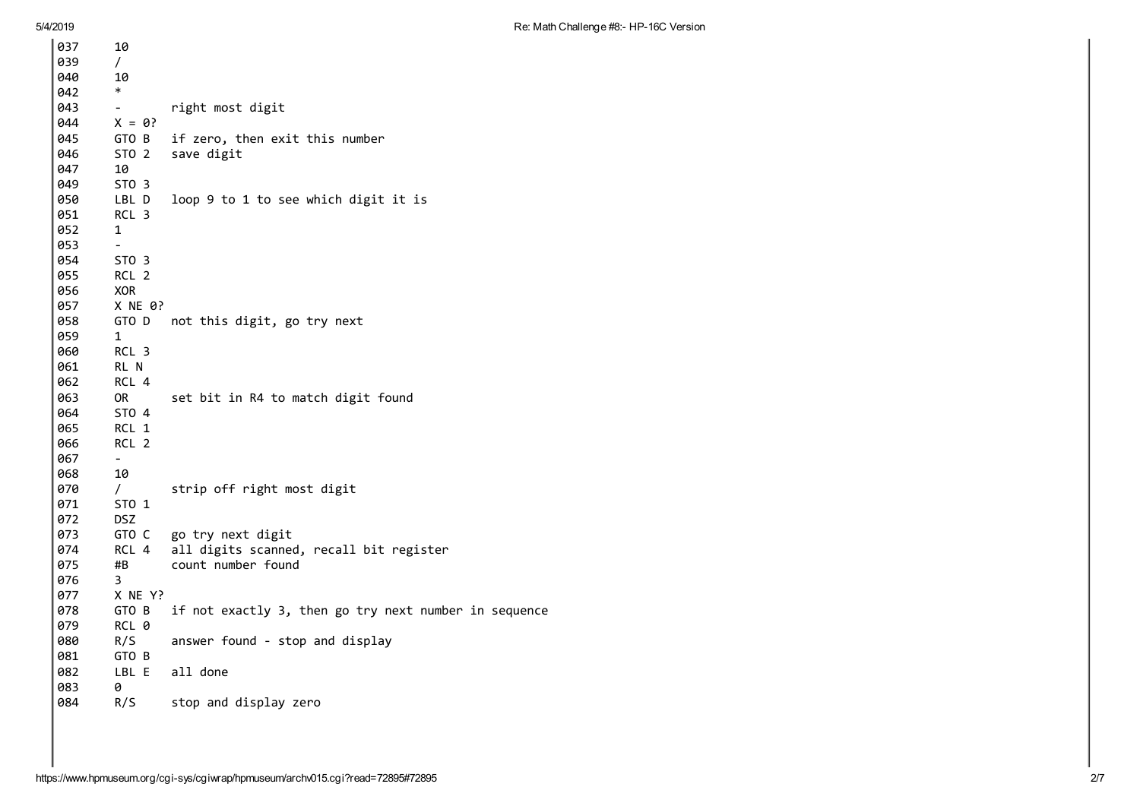5/4/ 2 0 1 9

| 037 | 10                       |                                                       |
|-----|--------------------------|-------------------------------------------------------|
| 039 | $\sqrt{2}$               |                                                       |
| 040 | 10                       |                                                       |
| 042 | $\ast$                   |                                                       |
| 043 |                          | right most digit                                      |
| 044 | $X = 0?$                 |                                                       |
| 045 | GTO B                    | if zero, then exit this number                        |
| 046 | STO <sub>2</sub>         | save digit                                            |
| 047 | 10                       |                                                       |
| 049 | STO <sub>3</sub>         |                                                       |
| 050 | LBL D                    | loop 9 to 1 to see which digit it is                  |
| 051 | RCL <sub>3</sub>         |                                                       |
| 052 | 1                        |                                                       |
| 053 | $\blacksquare$           |                                                       |
| 054 | STO <sub>3</sub>         |                                                       |
| 055 | RCL <sub>2</sub>         |                                                       |
| 056 | <b>XOR</b>               |                                                       |
| 057 | X NE 0?                  |                                                       |
| 058 | GTO D                    | not this digit, go try next                           |
| 059 | 1                        |                                                       |
| 060 | RCL 3                    |                                                       |
| 061 | RL N                     |                                                       |
| 062 | RCL 4                    |                                                       |
| 063 | 0R                       | set bit in R4 to match digit found                    |
| 064 | STO 4                    |                                                       |
| 065 | RCL 1                    |                                                       |
| 066 | RCL <sub>2</sub>         |                                                       |
| 067 | $\overline{\phantom{0}}$ |                                                       |
| 068 | 10                       |                                                       |
| 070 | $\sqrt{2}$               | strip off right most digit                            |
| 071 | ST0 1                    |                                                       |
| 072 | <b>DSZ</b>               |                                                       |
| 073 | GTO C                    | go try next digit                                     |
| 074 | RCL 4                    | all digits scanned, recall bit register               |
| 075 | #B                       | count number found                                    |
| 076 | 3                        |                                                       |
| 077 | X NE Y?                  |                                                       |
| 078 | GTO B                    | if not exactly 3, then go try next number in sequence |
| 079 | RCL 0                    |                                                       |
| 080 | R/S                      | answer found - stop and display                       |
| 081 | GTO B                    |                                                       |
| 082 | LBL E                    | all done                                              |
| 083 | 0                        |                                                       |
| 084 | R/S                      | stop and display zero                                 |
|     |                          |                                                       |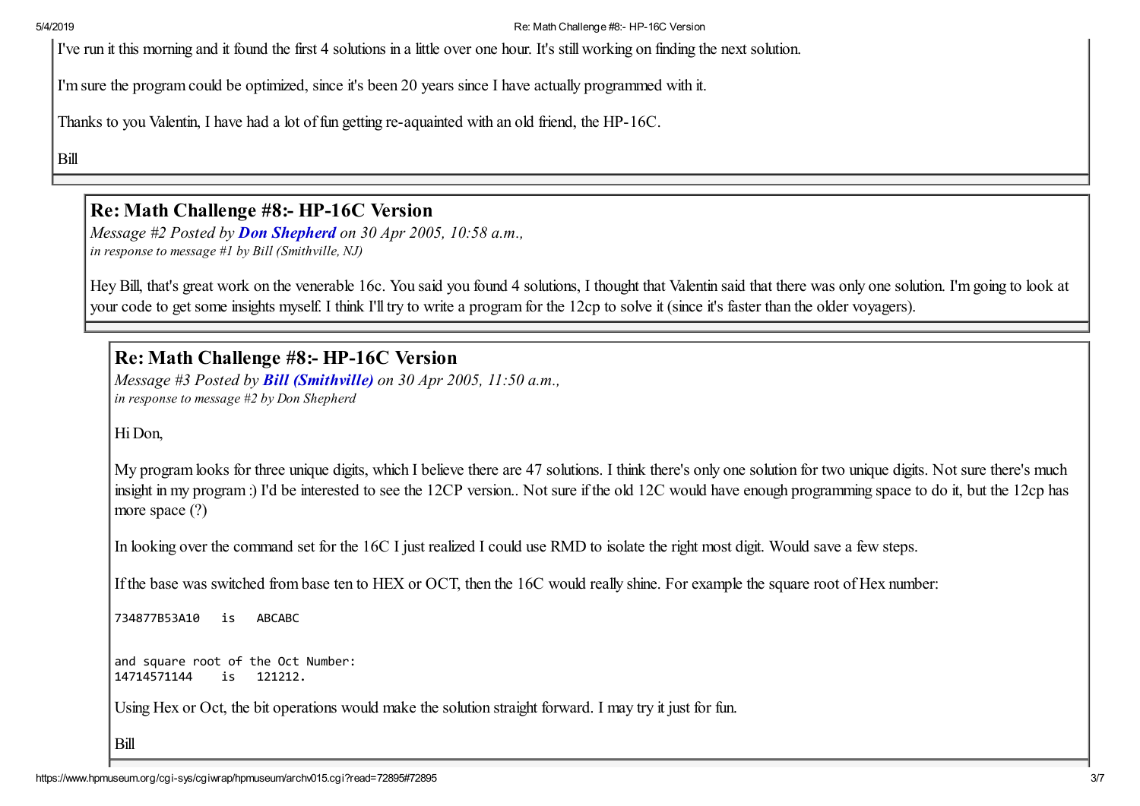5/4/2019 Re: Math Challenge #8:- HP-16C Version

I've run it this morning and it found the first 4 solutions in a little over one hour. It's still working on finding the next solution.

I'm sure the program could be optimized, since it's been 20 years since I have actually programmed with it.

Thanks to you Valentin, I have had a lot of fun getting re-aquainted with an old friend, the HP-16C.

Bill

## Re: Math Challenge #8:- HP-16C Version

*Message #2 Posted by [Don Shepherd](https://www.hpmuseum.org/cgi-sys/cgiwrap/hpmuseum/archv015.cgi?contact=72690) on 30 Apr 2005, 10:58 a.m., in response to message #1 by Bill (Smithville, NJ)*

Hey Bill, that's great work on the venerable 16c. You said you found 4 solutions, I thought that Valentin said that there was only one solution. I'm going to look at your code to get some insights myself. I think I'll try to write a program for the 12cp to solve it (since it's faster than the older voyagers).

Re: Math Challenge #8:- HP-16C Version

*Message #3 Posted by [Bill \(Smithville\)](https://www.hpmuseum.org/cgi-sys/cgiwrap/hpmuseum/archv015.cgi?contact=72693) on 30 Apr 2005, 11:50 a.m., in response to message #2 by Don Shepherd*

Hi Don,

My program looks for three unique digits, which I believe there are 47 solutions. I think there's only one solution for two unique digits. Not sure there's much insight in my program :) I'd be interested to see the 12CP version.. Not sure if the old 12C would have enough programming space to do it, but the 12cp has more space (?)

In looking over the command set for the 16C I just realized I could use RMD to isolate the right most digit. Would save a few steps.

If the base was switched from base ten to HEX or OCT, then the 16C would really shine. For example the square root of Hex number:

734877B53A10 is ABCABC

and square root of the Oct Number: 14714571144 is 121212.

Using Hex or Oct, the bit operations would make the solution straight forward. I may try it just for fun.

Bill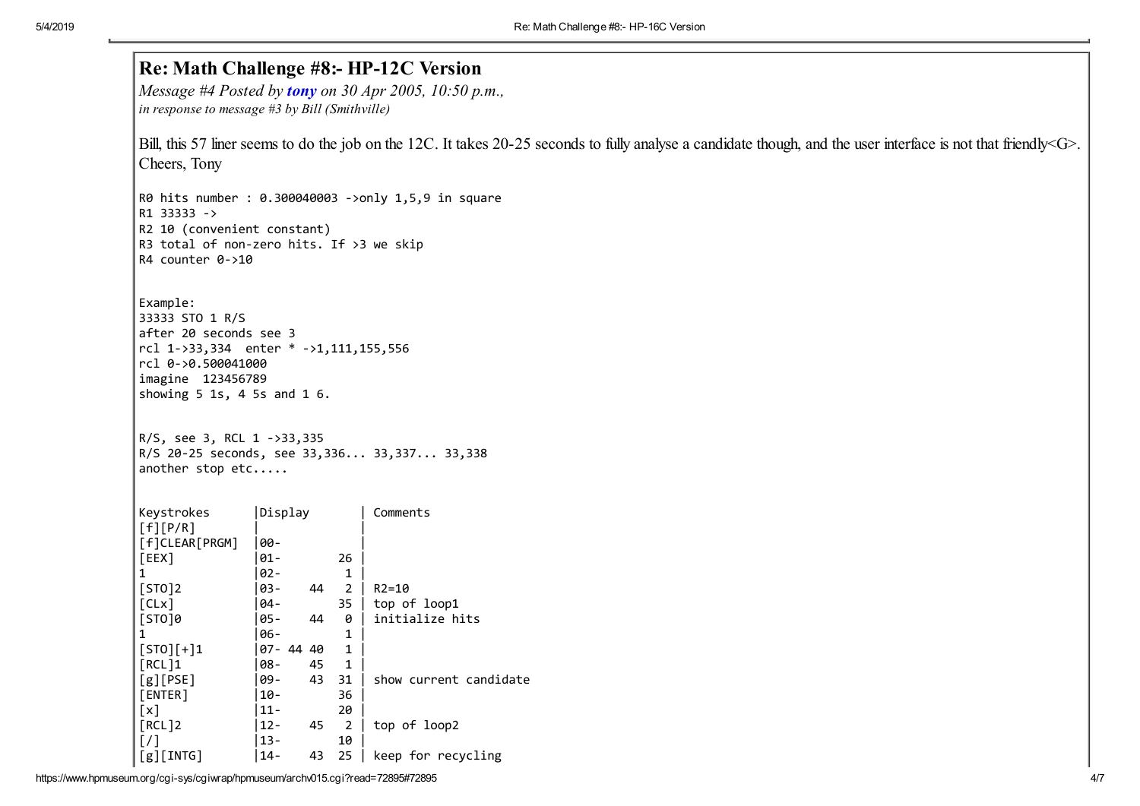|                                                |                              | Re: Math Challenge #8:- HP-12C Version<br>Message #4 Posted by tony on 30 Apr 2005, 10:50 p.m.,                                                                 |  |  |  |  |  |  |
|------------------------------------------------|------------------------------|-----------------------------------------------------------------------------------------------------------------------------------------------------------------|--|--|--|--|--|--|
| in response to message #3 by Bill (Smithville) |                              |                                                                                                                                                                 |  |  |  |  |  |  |
|                                                |                              | Bill, this 57 liner seems to do the job on the 12C. It takes 20-25 seconds to fully analyse a candidate though, and the user interface is not that friendly G>. |  |  |  |  |  |  |
| Cheers, Tony                                   |                              |                                                                                                                                                                 |  |  |  |  |  |  |
|                                                |                              | R0 hits number : 0.300040003 ->only 1,5,9 in square                                                                                                             |  |  |  |  |  |  |
| R1 33333 ->                                    |                              |                                                                                                                                                                 |  |  |  |  |  |  |
| R2 10 (convenient constant)                    |                              |                                                                                                                                                                 |  |  |  |  |  |  |
| R3 total of non-zero hits. If >3 we skip       |                              |                                                                                                                                                                 |  |  |  |  |  |  |
| R4 counter 0->10                               |                              |                                                                                                                                                                 |  |  |  |  |  |  |
| Example:                                       |                              |                                                                                                                                                                 |  |  |  |  |  |  |
| 33333 STO 1 R/S                                |                              |                                                                                                                                                                 |  |  |  |  |  |  |
| after 20 seconds see 3                         |                              |                                                                                                                                                                 |  |  |  |  |  |  |
| rcl 1->33,334 enter * ->1,111,155,556          |                              |                                                                                                                                                                 |  |  |  |  |  |  |
| rcl 0->0.500041000                             |                              |                                                                                                                                                                 |  |  |  |  |  |  |
| imagine 123456789                              |                              |                                                                                                                                                                 |  |  |  |  |  |  |
| showing $5$ 1s, 4 5s and 1 6.                  |                              |                                                                                                                                                                 |  |  |  |  |  |  |
| R/S, see 3, RCL 1 ->33,335                     |                              | R/S 20-25 seconds, see 33,336 33,337 33,338                                                                                                                     |  |  |  |  |  |  |
| another stop etc                               |                              |                                                                                                                                                                 |  |  |  |  |  |  |
|                                                | Display                      | Comments                                                                                                                                                        |  |  |  |  |  |  |
| [f][P/R]<br>[f]CLEAR[PRGM]                     | 00-                          |                                                                                                                                                                 |  |  |  |  |  |  |
| [EEX]                                          | 01-<br>26                    |                                                                                                                                                                 |  |  |  |  |  |  |
| $\mathbf{1}$                                   | 02-                          | $\mathbf{1}$                                                                                                                                                    |  |  |  |  |  |  |
| $[STO]2$                                       | $44 \quad 2$<br> 03-         | $R2 = 10$                                                                                                                                                       |  |  |  |  |  |  |
| [CLx]                                          | 04-                          | $35$   top of loop1                                                                                                                                             |  |  |  |  |  |  |
|                                                | 44<br> 05-                   | initialize hits<br>0                                                                                                                                            |  |  |  |  |  |  |
| $\mathbf{1}$                                   | 06-                          | $\mathbf{1}$                                                                                                                                                    |  |  |  |  |  |  |
|                                                | 07-4440                      | $\mathbf{1}$                                                                                                                                                    |  |  |  |  |  |  |
| $[STO][+]1$                                    | $ 08-$<br>45                 | $\mathbf{1}$                                                                                                                                                    |  |  |  |  |  |  |
| Keystrokes<br>[STO]0<br>[RCL]1<br>[g][PSE]     | 09-<br>43 31                 | show current candidate                                                                                                                                          |  |  |  |  |  |  |
| [ENTER]                                        | $10 -$                       | 36                                                                                                                                                              |  |  |  |  |  |  |
| [x]                                            | 20<br>$11 -$                 |                                                                                                                                                                 |  |  |  |  |  |  |
| [RCL]2<br>[7]                                  | $12 -$<br>45<br>$13 -$<br>10 | top of loop2<br>$\overline{2}$                                                                                                                                  |  |  |  |  |  |  |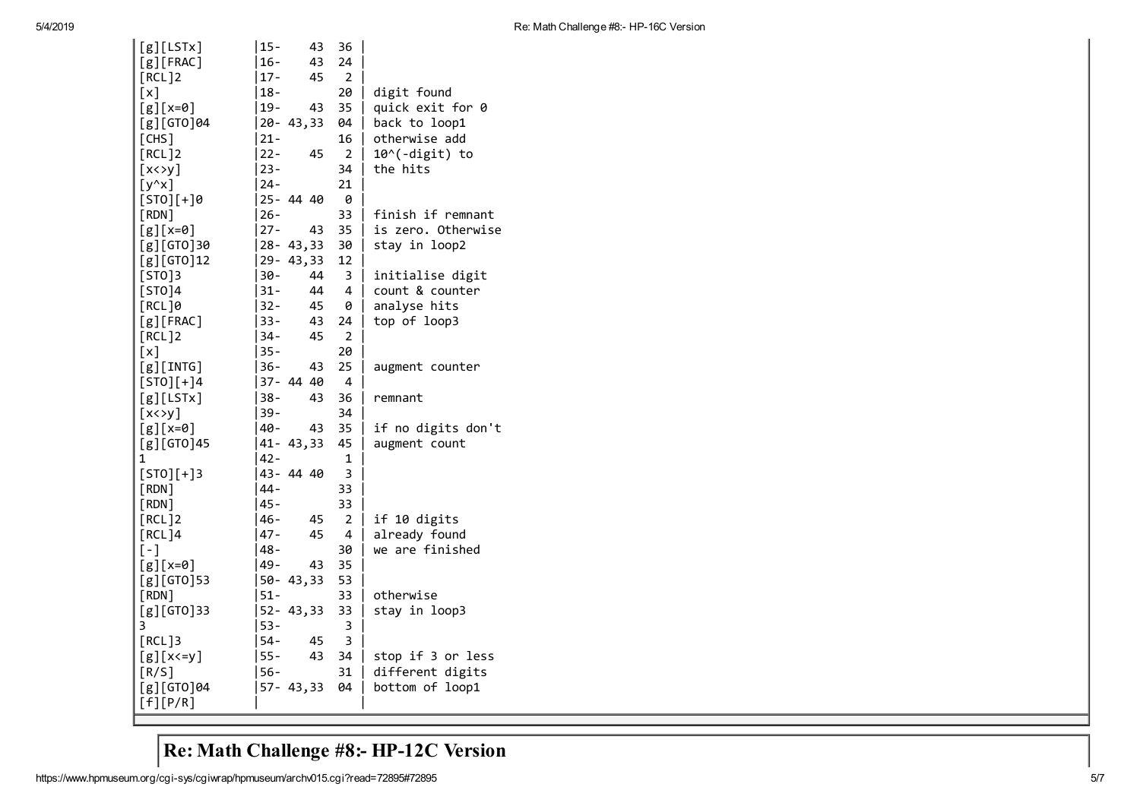| [g][LSTx]               | $15 -$  | 43             | 36             |                    |
|-------------------------|---------|----------------|----------------|--------------------|
| $[g]$ [FRAC]            | $16 -$  | 43             | 24             |                    |
| [RCL]2                  | $ 17 -$ | 45             | 2              |                    |
| [x]                     | 18-     |                | 20             | digit found        |
| $[g](x=0)$              | $19 -$  | 43             | 35             | quick exit for 0   |
| [g][GTO]04              |         | $ 20 - 43, 33$ | 04             | back to loop1      |
| [CHS]                   | 21-     |                | 16             | otherwise add      |
| [RCL]2                  | $22 -$  | 45             | $\overline{2}$ | 10^(-digit) to     |
| $[x \leftrightarrow y]$ | $23 -$  |                | 34             | the hits           |
| $[y^{\wedge}x]$         | $24 -$  |                | 21             |                    |
| $[STO][+]0$             |         | 25-4440        | 0              |                    |
| [RDN]                   | $26 -$  |                | 33             | finish if remnant  |
| $[g](x=0)$              | $ 27-$  | 43             | 35             | is zero. Otherwise |
| [g][GTO]30              |         | $ 28 - 43, 33$ | 30             | stay in loop2      |
| [g][GTO]12              |         | $29 - 43, 33$  | 12             |                    |
| [STO]3                  | $30 -$  | 44             | 3              | initialise digit   |
| [STO]4                  | $31 -$  | 44             | 4              | count & counter    |
| [RCL]0                  | $32 -$  | 45             | 0              | analyse hits       |
| $[g]$ [FRAC]            | 33 –    | 43             | 24             | top of loop3       |
| [RCL]2                  | 34-     | 45             | $\overline{2}$ |                    |
| [x]                     | $35 -$  |                | 20             |                    |
| $[g]$ [INTG]            | 36-     | 43             | 25             | augment counter    |
| $[STO][+]4$             |         | 37-4440        | 4              |                    |
| [g][LSTx]               | $38 -$  | 43             | 36             | remnant            |
| $[x \leftrightarrow y]$ | 39-     |                | 34             |                    |
| $[g](x=0)$              | 40-     | 43             | 35             | if no digits don't |
| [g][GTO]45              |         | $ 41 - 43, 33$ | 45             | augment count      |
| 1                       | $42 -$  |                | $\mathbf{1}$   |                    |
| $[STO][+]3$             |         | 43-4440        | 3              |                    |
| [RDN]                   | 44 -    |                | 33             |                    |
| [RDN]                   | $45 -$  |                | 33             |                    |
| [RCL]2                  | 46-     | 45             | $\overline{a}$ | if 10 digits       |
| [RCL]4                  | $47 -$  | 45             | 4              | already found      |
| $[-]$                   | $48 -$  |                | 30             | we are finished    |
| $[g][x=0]$              | 49 -    | 43             | 35             |                    |
| $[g][GTO]$ 53           |         | 50-43,33       | 53             |                    |
| $[$ RDN $]$             | $51 -$  |                | 33             | otherwise          |
| [g][GTO]33              |         | $52 - 43,33$   | 33             | stay in loop3      |
| 3                       | $53 -$  |                | 3              |                    |
| [RCL]3                  | $54 -$  | 45             | 3              |                    |
|                         | $55 -$  | 43             | 34             |                    |
| $[g](x \leq y)$         |         |                |                | stop if 3 or less  |
| [R/S]                   | 56-     |                | 31             | different digits   |
| [g][GTO]04              |         | $57 - 43,33$   | 04             | bottom of loop1    |
| [f][P/R]                |         |                |                |                    |

## Re: Math Challenge #8:- HP-12C Version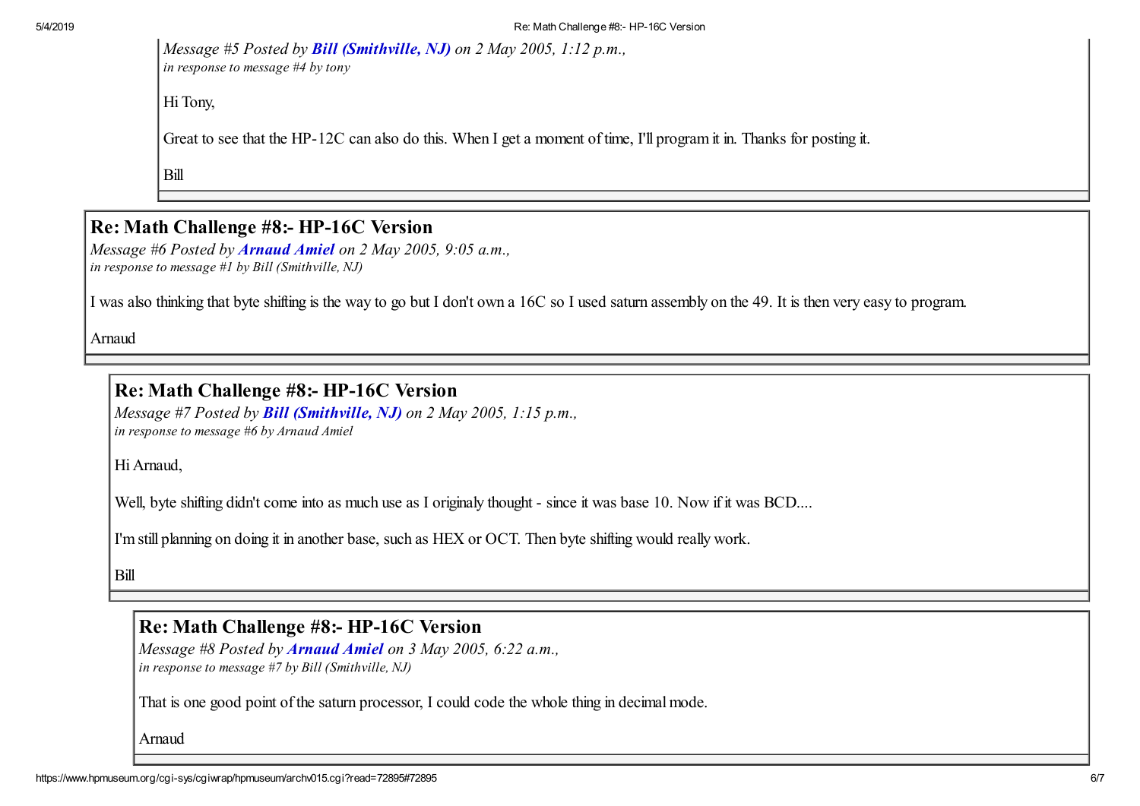*Message #5 Posted by [Bill \(Smithville, NJ\)](https://www.hpmuseum.org/cgi-sys/cgiwrap/hpmuseum/archv015.cgi?contact=72792) on 2 May 2005, 1:12 p.m., in response to message #4 by tony*

Hi Tony,

Great to see that the HP-12C can also do this. When I get a moment of time, I'll program it in. Thanks for posting it.

Bill

#### Re: Math Challenge #8:- HP-16C Version

*Message #6 Posted by [Arnaud Amiel](https://www.hpmuseum.org/cgi-sys/cgiwrap/hpmuseum/archv015.cgi?contact=72760) on 2 May 2005, 9:05 a.m., in response to message #1 by Bill (Smithville, NJ)*

I was also thinking that byte shifting is the way to go but I don't own a 16C so I used saturn assembly on the 49. It is then very easy to program.

Arnaud

### Re: Math Challenge #8:- HP-16C Version

*Message #7 Posted by [Bill \(Smithville, NJ\)](https://www.hpmuseum.org/cgi-sys/cgiwrap/hpmuseum/archv015.cgi?contact=72793) on 2 May 2005, 1:15 p.m., in response to message #6 by Arnaud Amiel*

Hi Arnaud,

Well, byte shifting didn't come into as much use as I originaly thought - since it was base 10. Now if it was BCD....

I'm still planning on doing it in another base, such as HEX or OCT. Then byte shifting would really work.

Bill

#### Re: Math Challenge #8:- HP-16C Version

*Message #8 Posted by [Arnaud Amiel](https://www.hpmuseum.org/cgi-sys/cgiwrap/hpmuseum/archv015.cgi?contact=72835) on 3 May 2005, 6:22 a.m., in response to message #7 by Bill (Smithville, NJ)*

That is one good point of the saturn processor, I could code the whole thing in decimal mode.

Arnaud